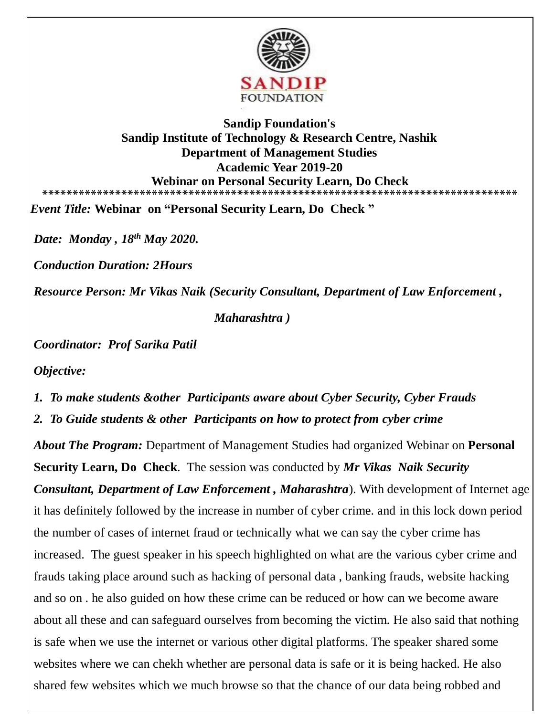

## **Sandip Foundation's Sandip Institute of Technology & Research Centre, Nashik Department of Management Studies Academic Year 2019-20 Webinar on Personal Security Learn, Do Check \*\*\*\*\*\*\*\*\*\*\*\*\*\*\*\*\*\*\*\*\*\*\*\*\*\*\*\*\*\*\*\*\*\*\*\*\*\*\*\*\*\*\*\*\*\*\*\*\*\*\*\*\*\*\*\*\*\*\*\*\*\*\*\*\*\*\*\*\*\*\*\*\*\*\*\*\*\***

*Event Title:* **Webinar on "Personal Security Learn, Do Check "**

*Date: Monday , 18th May 2020.*

*Conduction Duration: 2Hours* 

*Resource Person: Mr Vikas Naik (Security Consultant, Department of Law Enforcement ,* 

 *Maharashtra )*

*Coordinator: Prof Sarika Patil* 

*Objective:*

*1. To make students &other Participants aware about Cyber Security, Cyber Frauds 2. To Guide students & other Participants on how to protect from cyber crime* 

*About The Program:* Department of Management Studies had organized Webinar on **Personal Security Learn, Do Check**. The session was conducted by *Mr Vikas Naik Security Consultant, Department of Law Enforcement , Maharashtra*). With development of Internet age it has definitely followed by the increase in number of cyber crime. and in this lock down period the number of cases of internet fraud or technically what we can say the cyber crime has increased. The guest speaker in his speech highlighted on what are the various cyber crime and frauds taking place around such as hacking of personal data , banking frauds, website hacking and so on . he also guided on how these crime can be reduced or how can we become aware about all these and can safeguard ourselves from becoming the victim. He also said that nothing is safe when we use the internet or various other digital platforms. The speaker shared some websites where we can chekh whether are personal data is safe or it is being hacked. He also shared few websites which we much browse so that the chance of our data being robbed and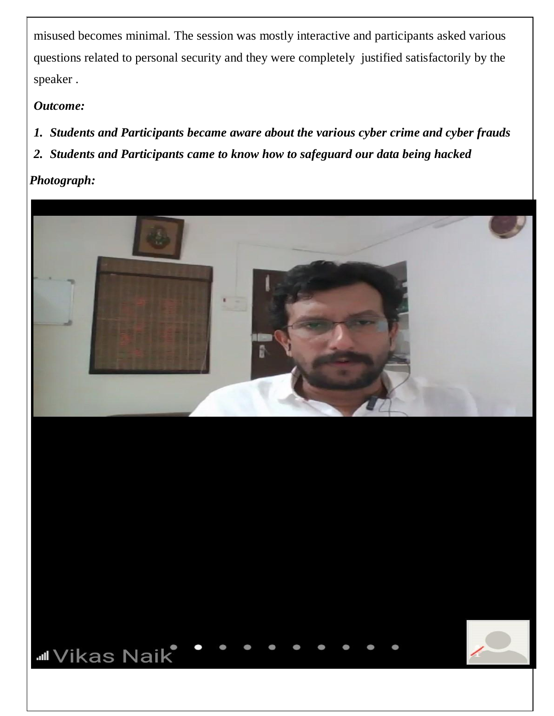misused becomes minimal. The session was mostly interactive and participants asked various questions related to personal security and they were completely justified satisfactorily by the speaker .

## *Outcome:*

- *1. Students and Participants became aware about the various cyber crime and cyber frauds*
- *2. Students and Participants came to know how to safeguard our data being hacked*

## *Photograph:*

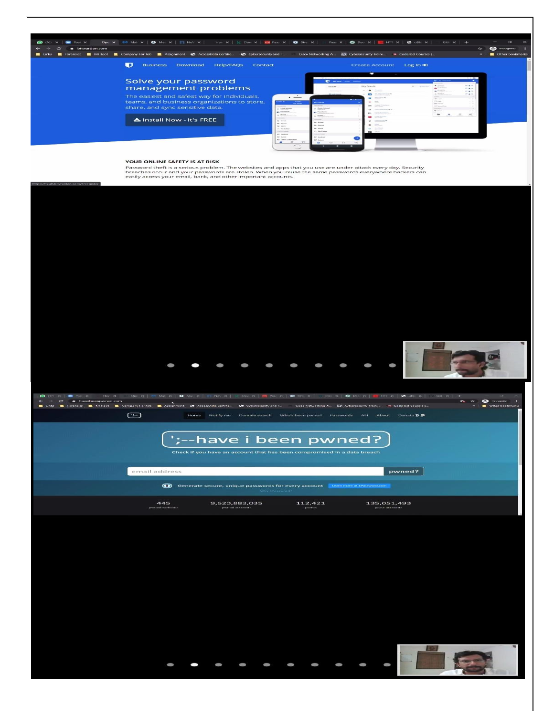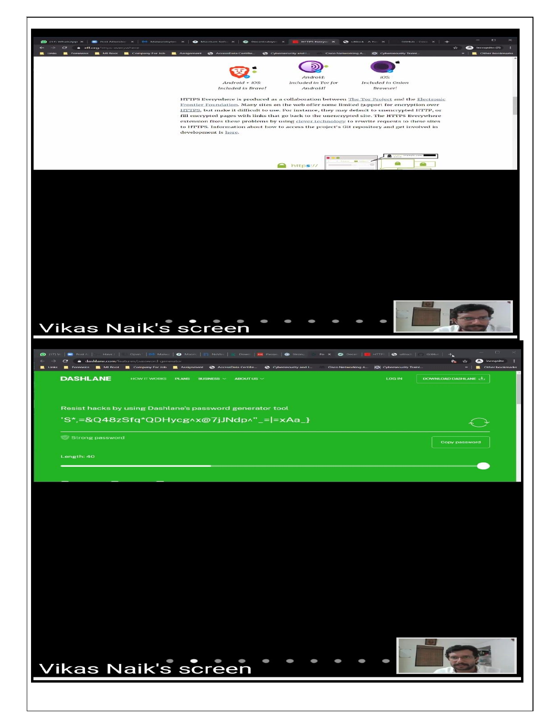